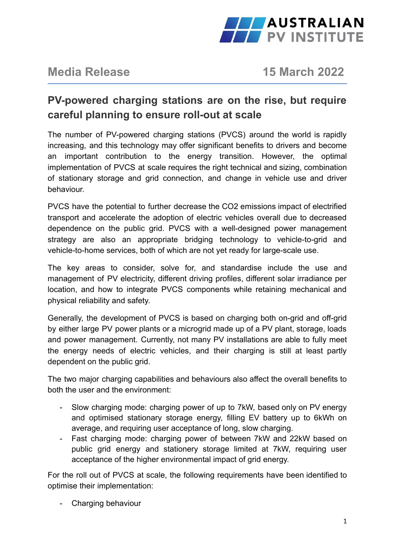

# **Media Release 15 March 2022**

# **PV-powered charging stations are on the rise, but require careful planning to ensure roll-out at scale**

The number of PV-powered charging stations (PVCS) around the world is rapidly increasing, and this technology may offer significant benefits to drivers and become an important contribution to the energy transition. However, the optimal implementation of PVCS at scale requires the right technical and sizing, combination of stationary storage and grid connection, and change in vehicle use and driver behaviour.

PVCS have the potential to further decrease the CO2 emissions impact of electrified transport and accelerate the adoption of electric vehicles overall due to decreased dependence on the public grid. PVCS with a well-designed power management strategy are also an appropriate bridging technology to vehicle-to-grid and vehicle-to-home services, both of which are not yet ready for large-scale use.

The key areas to consider, solve for, and standardise include the use and management of PV electricity, different driving profiles, different solar irradiance per location, and how to integrate PVCS components while retaining mechanical and physical reliability and safety.

Generally, the development of PVCS is based on charging both on-grid and off-grid by either large PV power plants or a microgrid made up of a PV plant, storage, loads and power management. Currently, not many PV installations are able to fully meet the energy needs of electric vehicles, and their charging is still at least partly dependent on the public grid.

The two major charging capabilities and behaviours also affect the overall benefits to both the user and the environment:

- Slow charging mode: charging power of up to 7kW, based only on PV energy and optimised stationary storage energy, filling EV battery up to 6kWh on average, and requiring user acceptance of long, slow charging.
- Fast charging mode: charging power of between 7kW and 22kW based on public grid energy and stationery storage limited at 7kW, requiring user acceptance of the higher environmental impact of grid energy.

For the roll out of PVCS at scale, the following requirements have been identified to optimise their implementation:

- Charging behaviour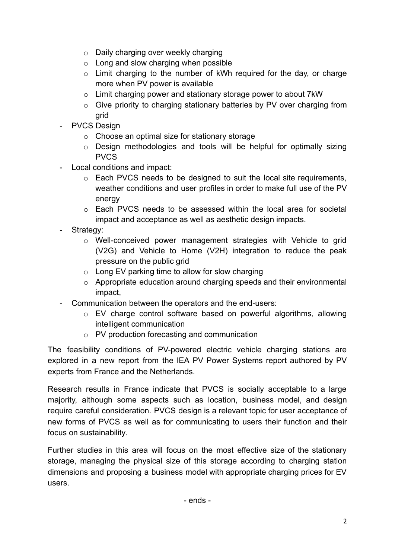- o Daily charging over weekly charging
- $\circ$  Long and slow charging when possible
- o Limit charging to the number of kWh required for the day, or charge more when PV power is available
- o Limit charging power and stationary storage power to about 7kW
- o Give priority to charging stationary batteries by PV over charging from grid
- PVCS Design
	- o Choose an optimal size for stationary storage
	- o Design methodologies and tools will be helpful for optimally sizing PVCS
- Local conditions and impact:
	- o Each PVCS needs to be designed to suit the local site requirements, weather conditions and user profiles in order to make full use of the PV energy
	- o Each PVCS needs to be assessed within the local area for societal impact and acceptance as well as aesthetic design impacts.
- Strategy:
	- o Well-conceived power management strategies with Vehicle to grid (V2G) and Vehicle to Home (V2H) integration to reduce the peak pressure on the public grid
	- o Long EV parking time to allow for slow charging
	- o Appropriate education around charging speeds and their environmental impact,
- Communication between the operators and the end-users:
	- o EV charge control software based on powerful algorithms, allowing intelligent communication
	- o PV production forecasting and communication

The feasibility conditions of PV-powered electric vehicle charging stations are explored in a new report from the IEA PV Power Systems report authored by PV experts from France and the Netherlands.

Research results in France indicate that PVCS is socially acceptable to a large majority, although some aspects such as location, business model, and design require careful consideration. PVCS design is a relevant topic for user acceptance of new forms of PVCS as well as for communicating to users their function and their focus on sustainability.

Further studies in this area will focus on the most effective size of the stationary storage, managing the physical size of this storage according to charging station dimensions and proposing a business model with appropriate charging prices for EV users.